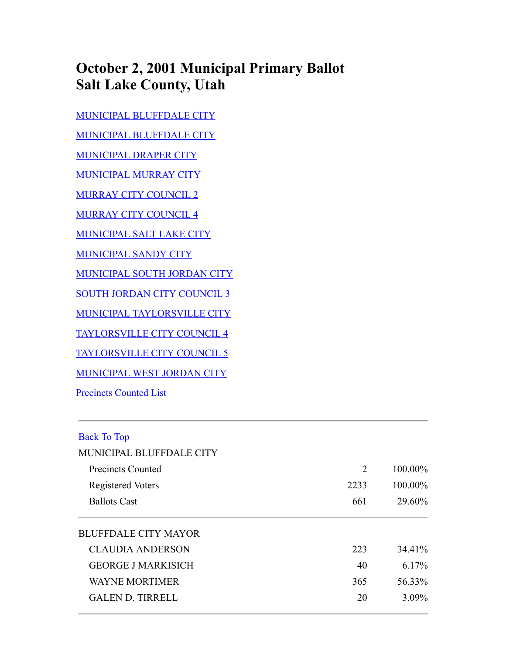## **October 2, 2001 Municipal Primary Ballot Salt Lake County, Utah**

[MUNICIPAL BLUFFDALE CITY](#page-0-0) [MUNICIPAL BLUFFDALE CITY](#page-0-0) [MUNICIPAL DRAPER CITY](#page-1-0) [MUNICIPAL MURRAY CITY](#page-1-1) [MURRAY CITY COUNCIL 2](#page-1-2) [MURRAY CITY COUNCIL 4](#page-2-0) [MUNICIPAL SALT LAKE CITY](#page-2-1) [MUNICIPAL SANDY CITY](#page-2-2) [MUNICIPAL SOUTH JORDAN CITY](#page-3-0) [SOUTH JORDAN CITY COUNCIL 3](#page-3-1) [MUNICIPAL TAYLORSVILLE CITY](#page-3-2) [TAYLORSVILLE CITY COUNCIL 4](#page-4-0) [TAYLORSVILLE CITY COUNCIL 5](#page-4-1) [MUNICIPAL WEST JORDAN CITY](#page-4-2) [Precincts Counted List](#page-5-0)

## <span id="page-0-0"></span>Back To Top

| MUNICIPAL BLUFFDALE CITY    |      |            |
|-----------------------------|------|------------|
| Precincts Counted           | 2    | $100.00\%$ |
| Registered Voters           | 2233 | 100.00%    |
| <b>Ballots Cast</b>         | 661  | 29.60%     |
| <b>BLUFFDALE CITY MAYOR</b> |      |            |
| <b>CLAUDIA ANDERSON</b>     | 223  | 34.41%     |
| <b>GEORGE J MARKISICH</b>   | 40   | $6.17\%$   |
| <b>WAYNE MORTIMER</b>       | 365  | 56.33%     |
| <b>GALEN D. TIRRELL</b>     | 20   | $3.09\%$   |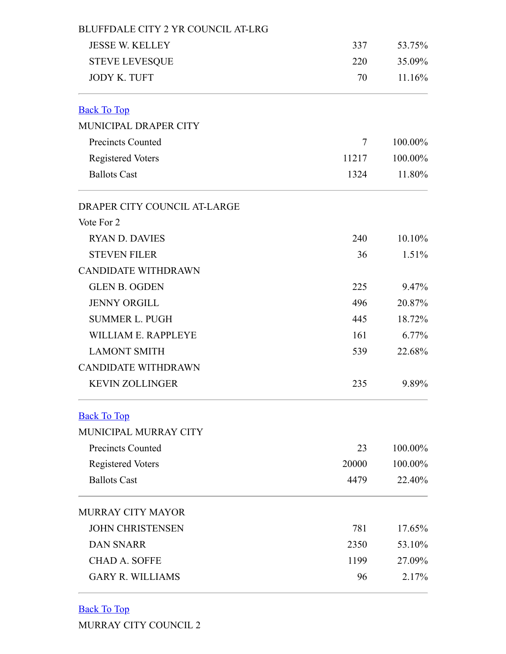<span id="page-1-2"></span><span id="page-1-1"></span><span id="page-1-0"></span>

| <b>BLUFFDALE CITY 2 YR COUNCIL AT-LRG</b> |       |         |
|-------------------------------------------|-------|---------|
| <b>JESSE W. KELLEY</b>                    | 337   | 53.75%  |
| <b>STEVE LEVESQUE</b>                     | 220   | 35.09%  |
| <b>JODY K. TUFT</b>                       | 70    | 11.16%  |
| <b>Back To Top</b>                        |       |         |
| MUNICIPAL DRAPER CITY                     |       |         |
| <b>Precincts Counted</b>                  | 7     | 100.00% |
| <b>Registered Voters</b>                  | 11217 | 100.00% |
| <b>Ballots Cast</b>                       | 1324  | 11.80%  |
| DRAPER CITY COUNCIL AT-LARGE              |       |         |
| Vote For 2                                |       |         |
| <b>RYAN D. DAVIES</b>                     | 240   | 10.10%  |
| <b>STEVEN FILER</b>                       | 36    | 1.51%   |
| <b>CANDIDATE WITHDRAWN</b>                |       |         |
| <b>GLEN B. OGDEN</b>                      | 225   | 9.47%   |
| <b>JENNY ORGILL</b>                       | 496   | 20.87%  |
| <b>SUMMER L. PUGH</b>                     | 445   | 18.72%  |
| WILLIAM E. RAPPLEYE                       | 161   | 6.77%   |
| <b>LAMONT SMITH</b>                       | 539   | 22.68%  |
| <b>CANDIDATE WITHDRAWN</b>                |       |         |
| <b>KEVIN ZOLLINGER</b>                    | 235   | 9.89%   |
| <b>Back To Top</b>                        |       |         |
| MUNICIPAL MURRAY CITY                     |       |         |
| <b>Precincts Counted</b>                  | 23    | 100.00% |
| <b>Registered Voters</b>                  | 20000 | 100.00% |
| <b>Ballots Cast</b>                       | 4479  | 22.40%  |
| <b>MURRAY CITY MAYOR</b>                  |       |         |
| <b>JOHN CHRISTENSEN</b>                   | 781   | 17.65%  |
| <b>DAN SNARR</b>                          | 2350  | 53.10%  |
| <b>CHAD A. SOFFE</b>                      | 1199  | 27.09%  |
| <b>GARY R. WILLIAMS</b>                   | 96    | 2.17%   |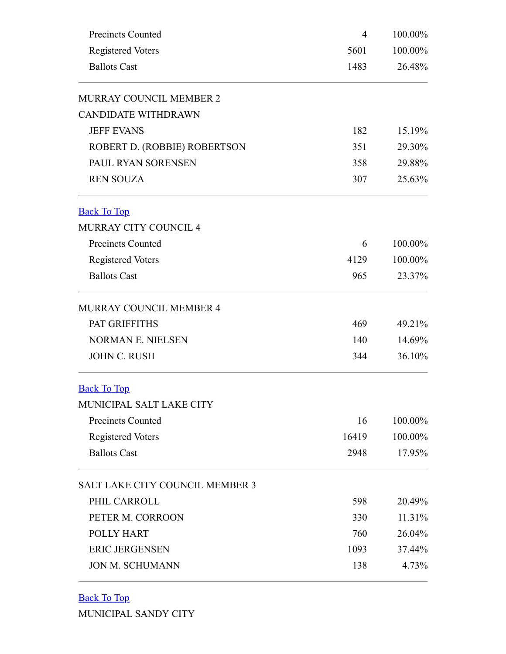<span id="page-2-0"></span>

| <b>Precincts Counted</b>        | 4     | 100.00% |  |
|---------------------------------|-------|---------|--|
| <b>Registered Voters</b>        | 5601  | 100.00% |  |
| <b>Ballots Cast</b>             | 1483  | 26.48%  |  |
| MURRAY COUNCIL MEMBER 2         |       |         |  |
| <b>CANDIDATE WITHDRAWN</b>      |       |         |  |
| <b>JEFF EVANS</b>               | 182   | 15.19%  |  |
| ROBERT D. (ROBBIE) ROBERTSON    | 351   | 29.30%  |  |
| PAUL RYAN SORENSEN              | 358   | 29.88%  |  |
| <b>REN SOUZA</b>                | 307   | 25.63%  |  |
| <b>Back To Top</b>              |       |         |  |
| <b>MURRAY CITY COUNCIL 4</b>    |       |         |  |
| <b>Precincts Counted</b>        | 6     | 100.00% |  |
| <b>Registered Voters</b>        | 4129  | 100.00% |  |
| <b>Ballots Cast</b>             | 965   | 23.37%  |  |
| MURRAY COUNCIL MEMBER 4         |       |         |  |
| PAT GRIFFITHS                   | 469   | 49.21%  |  |
| <b>NORMAN E. NIELSEN</b>        | 140   | 14.69%  |  |
| <b>JOHN C. RUSH</b>             | 344   | 36.10%  |  |
| <b>Back To Top</b>              |       |         |  |
| MUNICIPAL SALT LAKE CITY        |       |         |  |
| <b>Precincts Counted</b>        | 16    | 100.00% |  |
| <b>Registered Voters</b>        | 16419 | 100.00% |  |
| <b>Ballots Cast</b>             | 2948  | 17.95%  |  |
| SALT LAKE CITY COUNCIL MEMBER 3 |       |         |  |
| PHIL CARROLL                    | 598   | 20.49%  |  |
| PETER M. CORROON                | 330   | 11.31%  |  |
| POLLY HART                      | 760   | 26.04%  |  |
| <b>ERIC JERGENSEN</b>           | 1093  | 37.44%  |  |
| <b>JON M. SCHUMANN</b>          | 138   | 4.73%   |  |

<span id="page-2-2"></span><span id="page-2-1"></span>Back To Top

MUNICIPAL SANDY CITY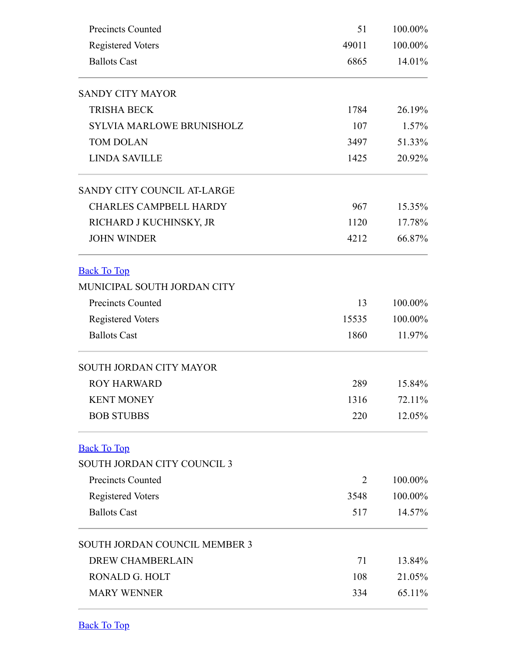<span id="page-3-0"></span>

| <b>Precincts Counted</b>             | 51    | 100.00%<br>100.00%<br>14.01% |  |
|--------------------------------------|-------|------------------------------|--|
| <b>Registered Voters</b>             | 49011 |                              |  |
| <b>Ballots Cast</b>                  | 6865  |                              |  |
| <b>SANDY CITY MAYOR</b>              |       |                              |  |
| <b>TRISHA BECK</b>                   | 1784  | 26.19%                       |  |
| <b>SYLVIA MARLOWE BRUNISHOLZ</b>     | 107   | 1.57%                        |  |
| <b>TOM DOLAN</b>                     | 3497  | 51.33%                       |  |
| <b>LINDA SAVILLE</b>                 | 1425  | 20.92%                       |  |
| SANDY CITY COUNCIL AT-LARGE          |       |                              |  |
| <b>CHARLES CAMPBELL HARDY</b>        | 967   | 15.35%                       |  |
| RICHARD J KUCHINSKY, JR              | 1120  | 17.78%                       |  |
| <b>JOHN WINDER</b>                   | 4212  | 66.87%                       |  |
| <b>Back To Top</b>                   |       |                              |  |
| MUNICIPAL SOUTH JORDAN CITY          |       |                              |  |
| <b>Precincts Counted</b>             | 13    | 100.00%                      |  |
| <b>Registered Voters</b>             | 15535 | 100.00%                      |  |
| <b>Ballots Cast</b>                  | 1860  | 11.97%                       |  |
| SOUTH JORDAN CITY MAYOR              |       |                              |  |
| <b>ROY HARWARD</b>                   | 289   | 15.84%                       |  |
| <b>KENT MONEY</b>                    | 1316  | 72.11%                       |  |
| <b>BOB STUBBS</b>                    | 220   | 12.05%                       |  |
| <b>Back To Top</b>                   |       |                              |  |
| SOUTH JORDAN CITY COUNCIL 3          |       |                              |  |
| <b>Precincts Counted</b>             | 2     | 100.00%                      |  |
| <b>Registered Voters</b>             | 3548  | 100.00%                      |  |
| <b>Ballots Cast</b>                  | 517   | 14.57%                       |  |
| <b>SOUTH JORDAN COUNCIL MEMBER 3</b> |       |                              |  |
| <b>DREW CHAMBERLAIN</b>              | 71    | 13.84%                       |  |
| RONALD G. HOLT                       | 108   | 21.05%                       |  |
| <b>MARY WENNER</b>                   | 334   | 65.11%                       |  |

<span id="page-3-2"></span><span id="page-3-1"></span>Back To Top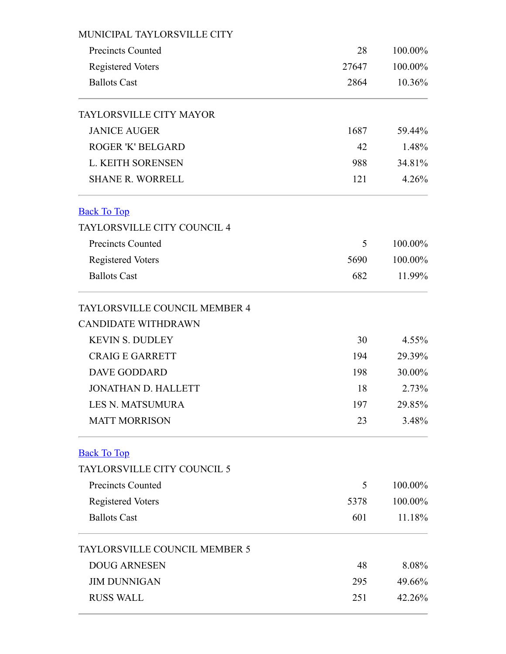<span id="page-4-2"></span><span id="page-4-1"></span><span id="page-4-0"></span>

| MUNICIPAL TAYLORSVILLE CITY        |       |          |
|------------------------------------|-------|----------|
| <b>Precincts Counted</b>           | 28    | 100.00%  |
| <b>Registered Voters</b>           | 27647 | 100.00%  |
| <b>Ballots Cast</b>                | 2864  | 10.36%   |
| <b>TAYLORSVILLE CITY MAYOR</b>     |       |          |
| <b>JANICE AUGER</b>                | 1687  | 59.44%   |
| <b>ROGER 'K' BELGARD</b>           | 42    | 1.48%    |
| <b>L. KEITH SORENSEN</b>           | 988   | 34.81%   |
| <b>SHANE R. WORRELL</b>            | 121   | 4.26%    |
| <b>Back To Top</b>                 |       |          |
| <b>TAYLORSVILLE CITY COUNCIL 4</b> |       |          |
| <b>Precincts Counted</b>           | 5     | 100.00%  |
| <b>Registered Voters</b>           | 5690  | 100.00%  |
| <b>Ballots Cast</b>                | 682   | 11.99%   |
| TAYLORSVILLE COUNCIL MEMBER 4      |       |          |
| <b>CANDIDATE WITHDRAWN</b>         |       |          |
| <b>KEVIN S. DUDLEY</b>             | 30    | $4.55\%$ |
| <b>CRAIGE GARRETT</b>              | 194   | 29.39%   |
| <b>DAVE GODDARD</b>                | 198   | 30.00%   |
| <b>JONATHAN D. HALLETT</b>         | 18    | 2.73%    |
| <b>LES N. MATSUMURA</b>            | 197   | 29.85%   |
| <b>MATT MORRISON</b>               | 23    | 3.48%    |
| <b>Back To Top</b>                 |       |          |
| TAYLORSVILLE CITY COUNCIL 5        |       |          |
| <b>Precincts Counted</b>           | 5     | 100.00%  |
| <b>Registered Voters</b>           | 5378  | 100.00%  |
| <b>Ballots Cast</b>                | 601   | 11.18%   |
| TAYLORSVILLE COUNCIL MEMBER 5      |       |          |
| <b>DOUG ARNESEN</b>                | 48    | 8.08%    |
| <b>JIM DUNNIGAN</b>                | 295   | 49.66%   |
| <b>RUSS WALL</b>                   | 251   | 42.26%   |
|                                    |       |          |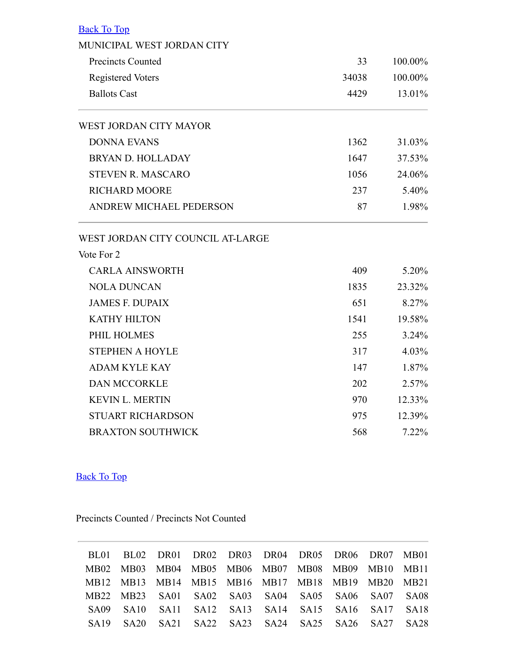| <b>Back To Top</b>                |       |         |
|-----------------------------------|-------|---------|
| MUNICIPAL WEST JORDAN CITY        |       |         |
| <b>Precincts Counted</b>          | 33    | 100.00% |
| <b>Registered Voters</b>          | 34038 | 100.00% |
| <b>Ballots Cast</b>               | 4429  | 13.01%  |
| <b>WEST JORDAN CITY MAYOR</b>     |       |         |
| <b>DONNA EVANS</b>                | 1362  | 31.03%  |
| <b>BRYAN D. HOLLADAY</b>          | 1647  | 37.53%  |
| <b>STEVEN R. MASCARO</b>          | 1056  | 24.06%  |
| <b>RICHARD MOORE</b>              | 237   | 5.40%   |
| <b>ANDREW MICHAEL PEDERSON</b>    | 87    | 1.98%   |
| WEST JORDAN CITY COUNCIL AT-LARGE |       |         |
| Vote For 2                        |       |         |
| <b>CARLA AINSWORTH</b>            | 409   | 5.20%   |
| <b>NOLA DUNCAN</b>                | 1835  | 23.32%  |
| <b>JAMES F. DUPAIX</b>            | 651   | 8.27%   |
| <b>KATHY HILTON</b>               | 1541  | 19.58%  |
| PHIL HOLMES                       | 255   | 3.24%   |
| <b>STEPHEN A HOYLE</b>            | 317   | 4.03%   |
| <b>ADAM KYLE KAY</b>              | 147   | 1.87%   |
| <b>DAN MCCORKLE</b>               | 202   | 2.57%   |
| <b>KEVIN L. MERTIN</b>            | 970   | 12.33%  |
| <b>STUART RICHARDSON</b>          | 975   | 12.39%  |
| <b>BRAXTON SOUTHWICK</b>          | 568   | 7.22%   |

Back To Top

Precincts Counted / Precincts Not Counted

<span id="page-5-0"></span>

|  |  |  | BL01 BL02 DR01 DR02 DR03 DR04 DR05 DR06 DR07 MB01 |  |  |
|--|--|--|---------------------------------------------------|--|--|
|  |  |  | MB02 MB03 MB04 MB05 MB06 MB07 MB08 MB09 MB10 MB11 |  |  |
|  |  |  | MB12 MB13 MB14 MB15 MB16 MB17 MB18 MB19 MB20 MB21 |  |  |
|  |  |  | MB22 MB23 SA01 SA02 SA03 SA04 SA05 SA06 SA07 SA08 |  |  |
|  |  |  | SA09 SA10 SA11 SA12 SA13 SA14 SA15 SA16 SA17 SA18 |  |  |
|  |  |  | SA19 SA20 SA21 SA22 SA23 SA24 SA25 SA26 SA27 SA28 |  |  |
|  |  |  |                                                   |  |  |